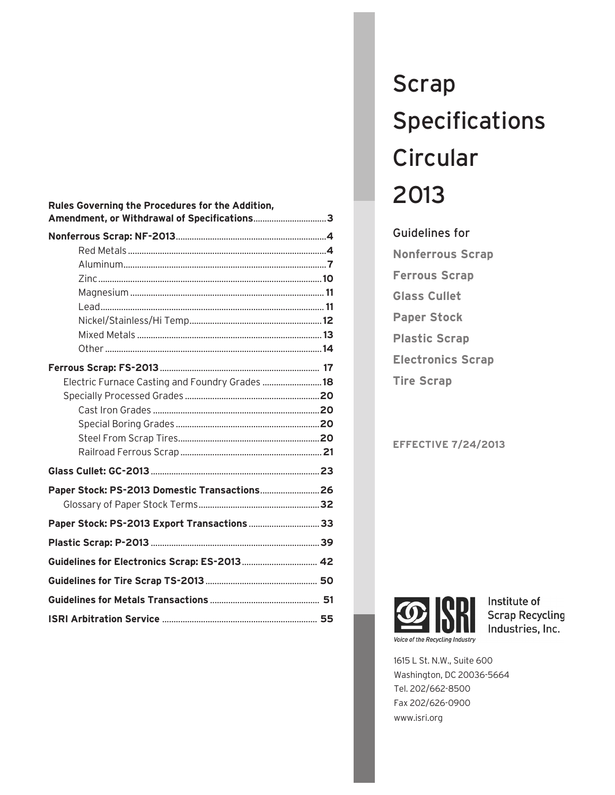| Rules Governing the Procedures for the Addition,<br>Amendment, or Withdrawal of Specifications3 |  |
|-------------------------------------------------------------------------------------------------|--|
|                                                                                                 |  |
|                                                                                                 |  |
|                                                                                                 |  |
|                                                                                                 |  |
|                                                                                                 |  |
|                                                                                                 |  |
|                                                                                                 |  |
|                                                                                                 |  |
|                                                                                                 |  |
|                                                                                                 |  |
| Electric Furnace Casting and Foundry Grades  18                                                 |  |
|                                                                                                 |  |
|                                                                                                 |  |
|                                                                                                 |  |
|                                                                                                 |  |
|                                                                                                 |  |
|                                                                                                 |  |
| Paper Stock: PS-2013 Domestic Transactions 26                                                   |  |
|                                                                                                 |  |
| Paper Stock: PS-2013 Export Transactions 33                                                     |  |
|                                                                                                 |  |
| Guidelines for Electronics Scrap: ES-2013 42                                                    |  |
|                                                                                                 |  |
|                                                                                                 |  |
|                                                                                                 |  |

# Scrap Specifications **Circular** 2013

Guidelines for **Nonferrous Scrap Ferrous Scrap Glass Cullet Paper Stock Plastic Scrap Electronics Scrap Tire Scrap**

# **EFFECTIVE 7/24/2013**



Institute of **Scrap Recycling** Industries, Inc.

1615 L St. N.W., Suite 600 Washington, DC 20036-5664 Tel. 202/662-8500 Fax 202/626-0900 www.isri.org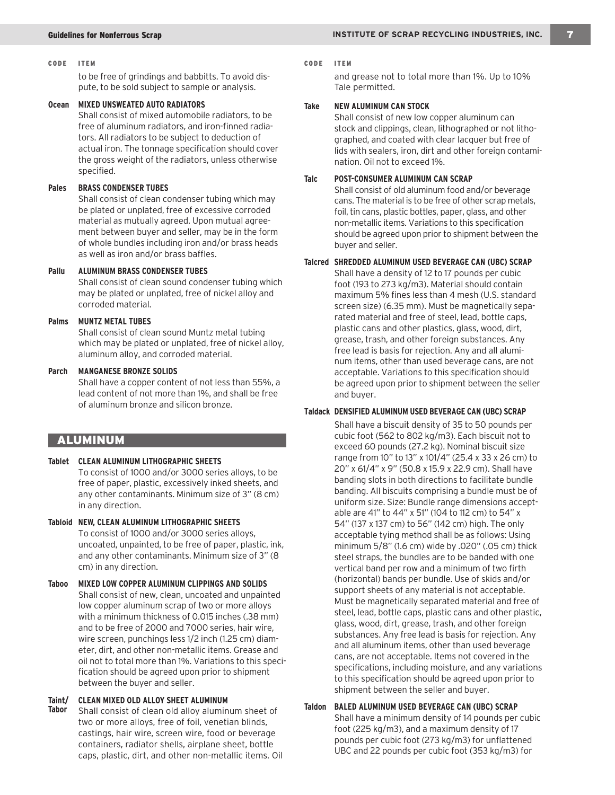#### CODE ITEM CODE ITEM

to be free of grindings and babbitts. To avoid dispute, to be sold subject to sample or analysis.

#### **Ocean MIXED UNSWEATED AUTO RADIATORS**

Shall consist of mixed automobile radiators, to be free of aluminum radiators, and iron-finned radiators. All radiators to be subject to deduction of actual iron. The tonnage specification should cover the gross weight of the radiators, unless otherwise specified.

#### **Pales BRASS CONDENSER TUBES**

Shall consist of clean condenser tubing which may be plated or unplated, free of excessive corroded material as mutually agreed. Upon mutual agreement between buyer and seller, may be in the form of whole bundles including iron and/or brass heads as well as iron and/or brass baffles.

## **Pallu ALUMINUM BRASS CONDENSER TUBES**

Shall consist of clean sound condenser tubing which may be plated or unplated, free of nickel alloy and corroded material.

#### **Palms MUNTZ METAL TUBES**

Shall consist of clean sound Muntz metal tubing which may be plated or unplated, free of nickel alloy, aluminum alloy, and corroded material.

#### **Parch MANGANESE BRONZE SOLIDS**

Shall have a copper content of not less than 55%, a lead content of not more than 1%, and shall be free of aluminum bronze and silicon bronze.

# ALUMINUM

**Tablet CLEAN ALUMINUM LITHOGRAPHIC SHEETS**

To consist of 1000 and/or 3000 series alloys, to be free of paper, plastic, excessively inked sheets, and any other contaminants. Minimum size of 3" (8 cm) in any direction.

- **Tabloid NEW, CLEAN ALUMINUM LITHOGRAPHIC SHEETS** To consist of 1000 and/or 3000 series alloys, uncoated, unpainted, to be free of paper, plastic, ink, and any other contaminants. Minimum size of 3" (8 cm) in any direction.
- **Taboo MIXED LOW COPPER ALUMINUM CLIPPINGS AND SOLIDS** Shall consist of new, clean, uncoated and unpainted low copper aluminum scrap of two or more alloys with a minimum thickness of 0.015 inches (.38 mm) and to be free of 2000 and 7000 series, hair wire, wire screen, punchings less 1/2 inch (1.25 cm) diameter, dirt, and other non-metallic items. Grease and oil not to total more than 1%. Variations to this specification should be agreed upon prior to shipment between the buyer and seller.

#### **Taint/ CLEAN MIXED OLD ALLOY SHEET ALUMINUM**

**Tabor** Shall consist of clean old alloy aluminum sheet of two or more alloys, free of foil, venetian blinds, castings, hair wire, screen wire, food or beverage containers, radiator shells, airplane sheet, bottle caps, plastic, dirt, and other non-metallic items. Oil

and grease not to total more than 1%. Up to 10% Tale permitted.

#### **Take NEW ALUMINUM CAN STOCK**

Shall consist of new low copper aluminum can stock and clippings, clean, lithographed or not lithographed, and coated with clear lacquer but free of lids with sealers, iron, dirt and other foreign contamination. Oil not to exceed 1%.

### **Talc POST-CONSUMER ALUMINUM CAN SCRAP**

Shall consist of old aluminum food and/or beverage cans. The material is to be free of other scrap metals, foil, tin cans, plastic bottles, paper, glass, and other non-metallic items. Variations to this specification should be agreed upon prior to shipment between the buyer and seller.

#### **Talcred SHREDDED ALUMINUM USED BEVERAGE CAN (UBC) SCRAP**

Shall have a density of 12 to 17 pounds per cubic foot (193 to 273 kg/m3). Material should contain maximum 5% fines less than 4 mesh (U.S. standard screen size) (6.35 mm). Must be magnetically separated material and free of steel, lead, bottle caps, plastic cans and other plastics, glass, wood, dirt, grease, trash, and other foreign substances. Any free lead is basis for rejection. Any and all aluminum items, other than used beverage cans, are not acceptable. Variations to this specification should be agreed upon prior to shipment between the seller and buyer.

#### **Taldack DENSIFIED ALUMINUM USED BEVERAGE CAN (UBC) SCRAP**

Shall have a biscuit density of 35 to 50 pounds per cubic foot (562 to 802 kg/m3). Each biscuit not to exceed 60 pounds (27.2 kg). Nominal biscuit size range from 10" to 13" x 101/4" (25.4 x 33 x 26 cm) to 20" x 61/4" x 9" (50.8 x 15.9 x 22.9 cm). Shall have banding slots in both directions to facilitate bundle banding. All biscuits comprising a bundle must be of uniform size. Size: Bundle range dimensions acceptable are 41" to 44" x 51" (104 to 112 cm) to 54" x 54" (137 x 137 cm) to 56" (142 cm) high. The only acceptable tying method shall be as follows: Using minimum 5/8" (1.6 cm) wide by .020" (.05 cm) thick steel straps, the bundles are to be banded with one vertical band per row and a minimum of two firth (horizontal) bands per bundle. Use of skids and/or support sheets of any material is not acceptable. Must be magnetically separated material and free of steel, lead, bottle caps, plastic cans and other plastic, glass, wood, dirt, grease, trash, and other foreign substances. Any free lead is basis for rejection. Any and all aluminum items, other than used beverage cans, are not acceptable. Items not covered in the specifications, including moisture, and any variations to this specification should be agreed upon prior to shipment between the seller and buyer.

#### **Taldon BALED ALUMINUM USED BEVERAGE CAN (UBC) SCRAP** Shall have a minimum density of 14 pounds per cubic foot (225 kg/m3), and a maximum density of 17 pounds per cubic foot (273 kg/m3) for unflattened UBC and 22 pounds per cubic foot (353 kg/m3) for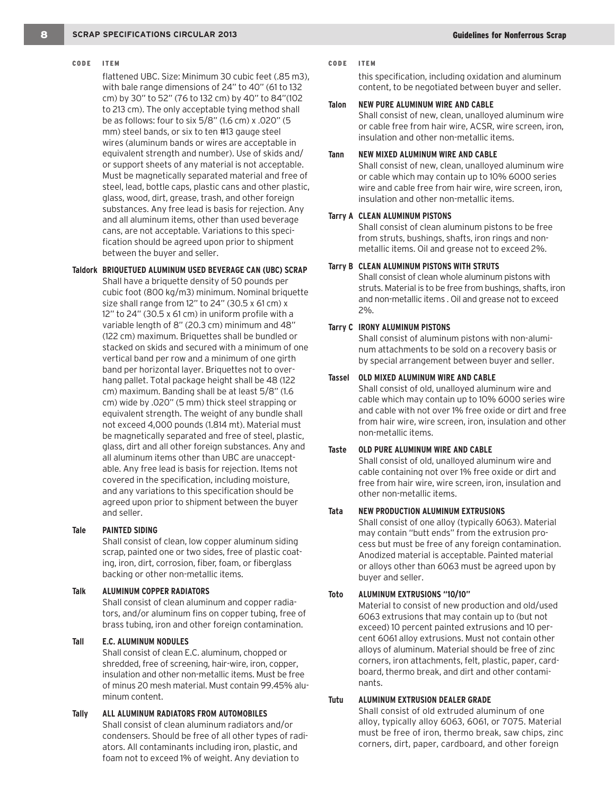flattened UBC. Size: Minimum 30 cubic feet (.85 m3), with bale range dimensions of 24" to 40" (61 to 132 cm) by 30" to 52" (76 to 132 cm) by 40" to 84"(102 to 213 cm). The only acceptable tying method shall be as follows: four to six 5/8" (1.6 cm) x .020" (5 mm) steel bands, or six to ten #13 gauge steel wires (aluminum bands or wires are acceptable in equivalent strength and number). Use of skids and/ or support sheets of any material is not acceptable. Must be magnetically separated material and free of steel, lead, bottle caps, plastic cans and other plastic, glass, wood, dirt, grease, trash, and other foreign substances. Any free lead is basis for rejection. Any and all aluminum items, other than used beverage cans, are not acceptable. Variations to this specification should be agreed upon prior to shipment between the buyer and seller.

#### **Taldork BRIQUETUED ALUMINUM USED BEVERAGE CAN (UBC) SCRAP**

Shall have a briquette density of 50 pounds per cubic foot (800 kg/m3) minimum. Nominal briquette size shall range from 12" to 24" (30.5 x 61 cm) x 12" to 24" (30.5 x 61 cm) in uniform profile with a variable length of 8" (20.3 cm) minimum and 48" (122 cm) maximum. Briquettes shall be bundled or stacked on skids and secured with a minimum of one vertical band per row and a minimum of one girth band per horizontal layer. Briquettes not to overhang pallet. Total package height shall be 48 (122 cm) maximum. Banding shall be at least 5/8" (1.6 cm) wide by .020" (5 mm) thick steel strapping or equivalent strength. The weight of any bundle shall not exceed 4,000 pounds (1.814 mt). Material must be magnetically separated and free of steel, plastic, glass, dirt and all other foreign substances. Any and all aluminum items other than UBC are unacceptable. Any free lead is basis for rejection. Items not covered in the specification, including moisture, and any variations to this specification should be agreed upon prior to shipment between the buyer and seller.

#### **Tale PAINTED SIDING**

Shall consist of clean, low copper aluminum siding scrap, painted one or two sides, free of plastic coating, iron, dirt, corrosion, fiber, foam, or fiberglass backing or other non-metallic items.

#### **Talk ALUMINUM COPPER RADIATORS**

Shall consist of clean aluminum and copper radiators, and/or aluminum fins on copper tubing, free of brass tubing, iron and other foreign contamination.

#### **Tall E.C. ALUMINUM NODULES**

Shall consist of clean E.C. aluminum, chopped or shredded, free of screening, hair-wire, iron, copper, insulation and other non-metallic items. Must be free of minus 20 mesh material. Must contain 99.45% aluminum content.

**Tally ALL ALUMINUM RADIATORS FROM AUTOMOBILES** Shall consist of clean aluminum radiators and/or condensers. Should be free of all other types of radiators. All contaminants including iron, plastic, and foam not to exceed 1% of weight. Any deviation to

#### CODE ITEM CODE ITEM

this specification, including oxidation and aluminum content, to be negotiated between buyer and seller.

#### **Talon NEW PURE ALUMINUM WIRE AND CABLE**

Shall consist of new, clean, unalloyed aluminum wire or cable free from hair wire, ACSR, wire screen, iron, insulation and other non-metallic items.

#### **Tann NEW MIXED ALUMINUM WIRE AND CABLE**

Shall consist of new, clean, unalloyed aluminum wire or cable which may contain up to 10% 6000 series wire and cable free from hair wire, wire screen, iron, insulation and other non-metallic items.

#### **Tarry A CLEAN ALUMINUM PISTONS**

Shall consist of clean aluminum pistons to be free from struts, bushings, shafts, iron rings and nonmetallic items. Oil and grease not to exceed 2%.

#### **Tarry B CLEAN ALUMINUM PISTONS WITH STRUTS**

Shall consist of clean whole aluminum pistons with struts. Material is to be free from bushings, shafts, iron and non-metallic items . Oil and grease not to exceed 2%.

#### **Tarry C IRONY ALUMINUM PISTONS**

Shall consist of aluminum pistons with non-aluminum attachments to be sold on a recovery basis or by special arrangement between buyer and seller.

#### **Tassel OLD MIXED ALUMINUM WIRE AND CABLE**

Shall consist of old, unalloyed aluminum wire and cable which may contain up to 10% 6000 series wire and cable with not over 1% free oxide or dirt and free from hair wire, wire screen, iron, insulation and other non-metallic items.

#### **Taste OLD PURE ALUMINUM WIRE AND CABLE**

Shall consist of old, unalloyed aluminum wire and cable containing not over 1% free oxide or dirt and free from hair wire, wire screen, iron, insulation and other non-metallic items.

#### **Tata NEW PRODUCTION ALUMINUM EXTRUSIONS**

Shall consist of one alloy (typically 6063). Material may contain "butt ends" from the extrusion process but must be free of any foreign contamination. Anodized material is acceptable. Painted material or alloys other than 6063 must be agreed upon by buyer and seller.

#### **Toto ALUMINUM EXTRUSIONS "10/10"**

Material to consist of new production and old/used 6063 extrusions that may contain up to (but not exceed) 10 percent painted extrusions and 10 percent 6061 alloy extrusions. Must not contain other alloys of aluminum. Material should be free of zinc corners, iron attachments, felt, plastic, paper, cardboard, thermo break, and dirt and other contaminants.

#### **Tutu ALUMINUM EXTRUSION DEALER GRADE**

Shall consist of old extruded aluminum of one alloy, typically alloy 6063, 6061, or 7075. Material must be free of iron, thermo break, saw chips, zinc corners, dirt, paper, cardboard, and other foreign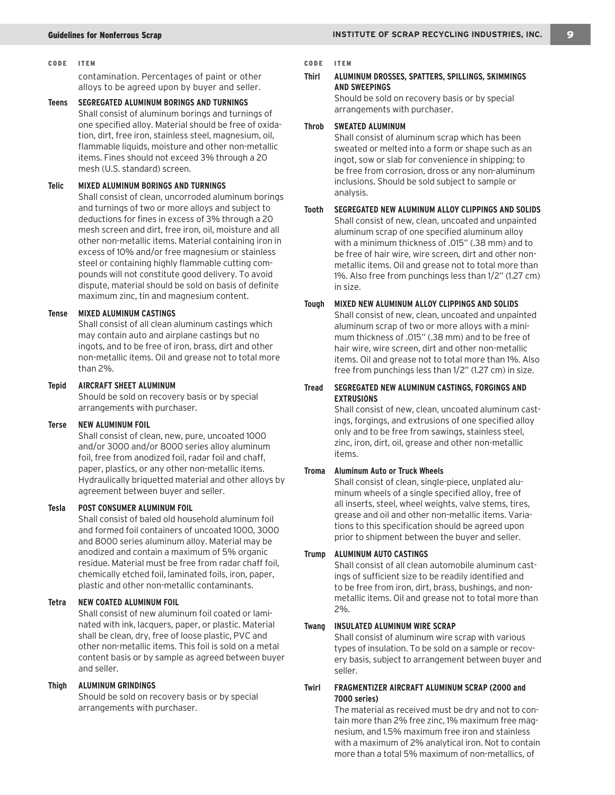#### CODE ITEM CODE ITEM

contamination. Percentages of paint or other alloys to be agreed upon by buyer and seller.

**Teens SEGREGATED ALUMINUM BORINGS AND TURNINGS** Shall consist of aluminum borings and turnings of one specified alloy. Material should be free of oxidation, dirt, free iron, stainless steel, magnesium, oil, flammable liquids, moisture and other non-metallic items. Fines should not exceed 3% through a 20 mesh (U.S. standard) screen.

#### **Telic MIXED ALUMINUM BORINGS AND TURNINGS**

Shall consist of clean, uncorroded aluminum borings and turnings of two or more alloys and subject to deductions for fines in excess of 3% through a 20 mesh screen and dirt, free iron, oil, moisture and all other non-metallic items. Material containing iron in excess of 10% and/or free magnesium or stainless steel or containing highly flammable cutting compounds will not constitute good delivery. To avoid dispute, material should be sold on basis of definite maximum zinc, tin and magnesium content.

#### **Tense MIXED ALUMINUM CASTINGS**

Shall consist of all clean aluminum castings which may contain auto and airplane castings but no ingots, and to be free of iron, brass, dirt and other non-metallic items. Oil and grease not to total more than 2%.

#### **Tepid AIRCRAFT SHEET ALUMINUM**

Should be sold on recovery basis or by special arrangements with purchaser.

#### **Terse NEW ALUMINUM FOIL**

Shall consist of clean, new, pure, uncoated 1000 and/or 3000 and/or 8000 series alloy aluminum foil, free from anodized foil, radar foil and chaff, paper, plastics, or any other non-metallic items. Hydraulically briquetted material and other alloys by agreement between buyer and seller.

#### **Tesla POST CONSUMER ALUMINUM FOIL**

Shall consist of baled old household aluminum foil and formed foil containers of uncoated 1000, 3000 and 8000 series aluminum alloy. Material may be anodized and contain a maximum of 5% organic residue. Material must be free from radar chaff foil, chemically etched foil, laminated foils, iron, paper, plastic and other non-metallic contaminants.

#### **Tetra NEW COATED ALUMINUM FOIL**

Shall consist of new aluminum foil coated or laminated with ink, lacquers, paper, or plastic. Material shall be clean, dry, free of loose plastic, PVC and other non-metallic items. This foil is sold on a metal content basis or by sample as agreed between buyer and seller.

#### **Thigh ALUMINUM GRINDINGS**

Should be sold on recovery basis or by special arrangements with purchaser.

#### **Thirl ALUMINUM DROSSES, SPATTERS, SPILLINGS, SKIMMINGS AND SWEEPINGS**

Should be sold on recovery basis or by special arrangements with purchaser.

#### **Throb SWEATED ALUMINUM**

Shall consist of aluminum scrap which has been sweated or melted into a form or shape such as an ingot, sow or slab for convenience in shipping; to be free from corrosion, dross or any non-aluminum inclusions. Should be sold subject to sample or analysis.

#### **Tooth SEGREGATED NEW ALUMINUM ALLOY CLIPPINGS AND SOLIDS**

Shall consist of new, clean, uncoated and unpainted aluminum scrap of one specified aluminum alloy with a minimum thickness of .015" (.38 mm) and to be free of hair wire, wire screen, dirt and other nonmetallic items. Oil and grease not to total more than 1%. Also free from punchings less than 1/2" (1.27 cm) in size.

# **Tough MIXED NEW ALUMINUM ALLOY CLIPPINGS AND SOLIDS**

Shall consist of new, clean, uncoated and unpainted aluminum scrap of two or more alloys with a minimum thickness of .015" (.38 mm) and to be free of hair wire, wire screen, dirt and other non-metallic items. Oil and grease not to total more than 1%. Also free from punchings less than 1/2" (1.27 cm) in size.

#### **Tread SEGREGATED NEW ALUMINUM CASTINGS, FORGINGS AND EXTRUSIONS**

Shall consist of new, clean, uncoated aluminum castings, forgings, and extrusions of one specified alloy only and to be free from sawings, stainless steel, zinc, iron, dirt, oil, grease and other non-metallic items.

#### **Troma Aluminum Auto or Truck Wheels**

Shall consist of clean, single-piece, unplated aluminum wheels of a single specified alloy, free of all inserts, steel, wheel weights, valve stems, tires, grease and oil and other non-metallic items. Variations to this specification should be agreed upon prior to shipment between the buyer and seller.

#### **Trump ALUMINUM AUTO CASTINGS**

Shall consist of all clean automobile aluminum castings of sufficient size to be readily identified and to be free from iron, dirt, brass, bushings, and nonmetallic items. Oil and grease not to total more than 2%.

#### **Twang INSULATED ALUMINUM WIRE SCRAP**

Shall consist of aluminum wire scrap with various types of insulation. To be sold on a sample or recovery basis, subject to arrangement between buyer and seller.

## **Twirl FRAGMENTIZER AIRCRAFT ALUMINUM SCRAP (2000 and 7000 series)**

The material as received must be dry and not to contain more than 2% free zinc, 1% maximum free magnesium, and 1.5% maximum free iron and stainless with a maximum of 2% analytical iron. Not to contain more than a total 5% maximum of non-metallics, of